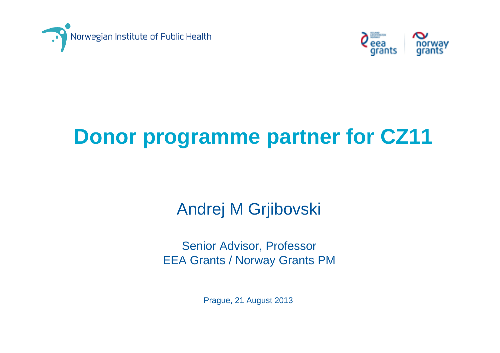



# **Donor programme partner for CZ11**

#### Andrej M Grjibovski

Senior Advisor, Professor EEA Grants / Norway Grants PM

Prague, 21 August 2013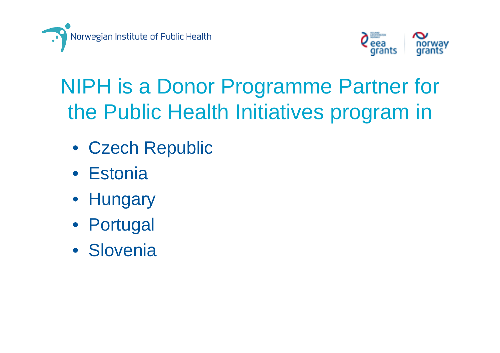



# NIPH is a Donor Programme Partner for the Public Health Initiatives program in

- Czech Republic
- Estonia
- Hungary
- Portugal
- Slovenia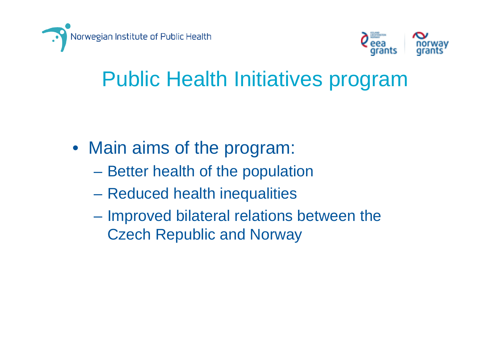



### Public Health Initiatives program

- Main aims of the program:
	- Better health of the population
	- Reduced health inequalities
	- Improved bilateral relations between the Czech Republic and Norway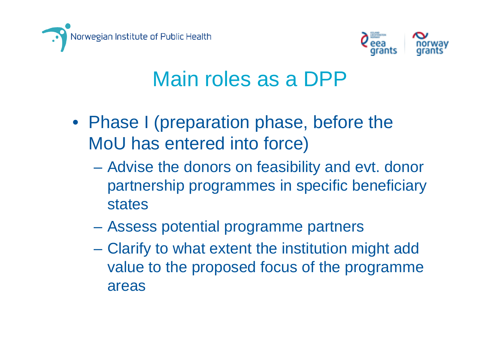



#### Main roles as a DPP

- Phase I (preparation phase, before the MoU has entered into force)
	- Advise the donors on feasibility and evt. donor partnership programmes in specific beneficiary states
	- Assess potential programme partners
	- Clarify to what extent the institution might add value to the proposed focus of the programme areas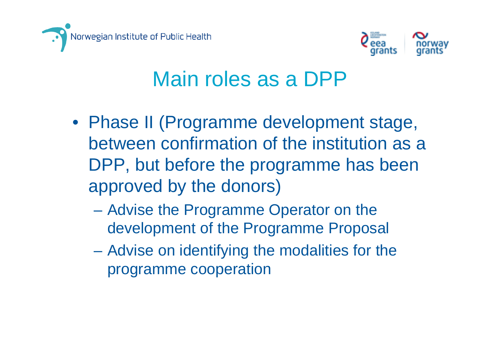



#### Main roles as a DPP

- Phase II (Programme development stage, between confirmation of the institution as a DPP, but before the programme has been approved by the donors)
	- Advise the Programme Operator on the development of the Programme Proposal
	- Advise on identifying the modalities for the programme cooperation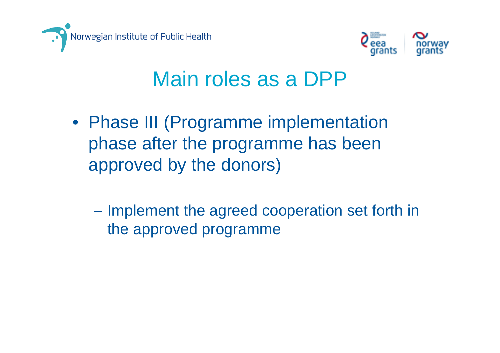



#### Main roles as a DPP

- Phase III (Programme implementation phase after the programme has been approved by the donors)
	- Implement the agreed cooperation set forth in the approved programme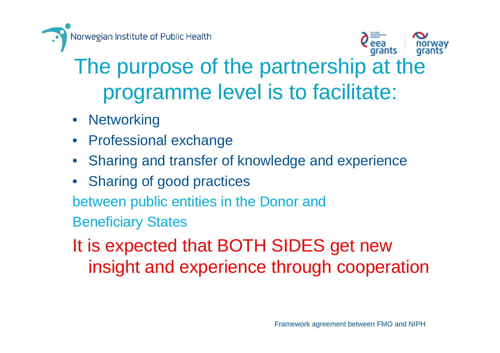



# The purpose of the partnership at the programme level is to facilitate:

- Networking
- Professional exchange
- Sharing and transfer of knowledge and experience
- Sharing of good practices

between public entities in the Donor and

Beneficiary States

It is expected that BOTH SIDES get new insight and experience through cooperation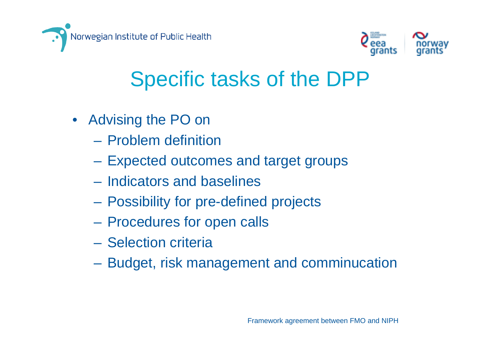



- Advising the PO on
	- Problem definition
	- Expected outcomes and target groups
	- Indicators and baselines
	- Possibility for pre-defined projects
	- Procedures for open calls
	- Selection criteria
	- Budget, risk management and comminucation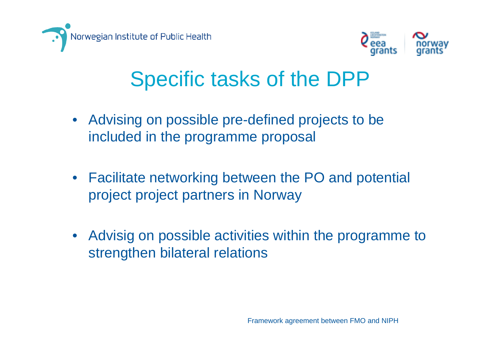



- Advising on possible pre-defined projects to be included in the programme proposal
- Facilitate networking between the PO and potential project project partners in Norway
- Advisig on possible activities within the programme to strengthen bilateral relations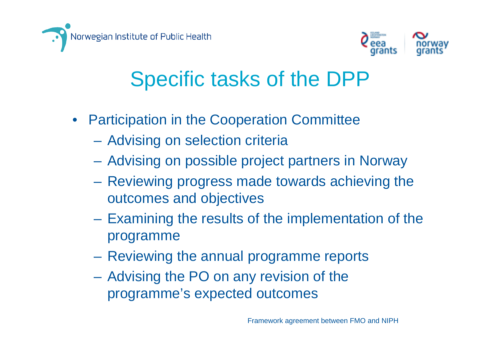



- Participation in the Cooperation Committee
	- Advising on selection criteria
	- Advising on possible project partners in Norway
	- Reviewing progress made towards achieving the outcomes and objectives
	- Examining the results of the implementation of the programme
	- $\mathcal{L}_{\mathcal{A}}$ Reviewing the annual programme reports
	- Advising the PO on any revision of the programme's expected outcomes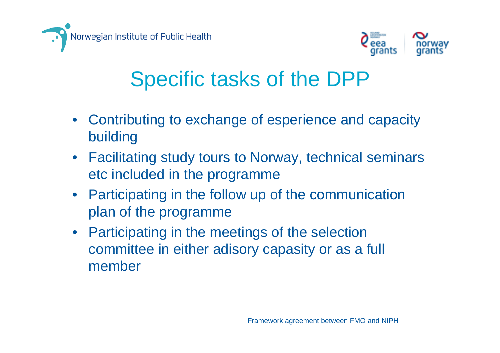



- Contributing to exchange of esperience and capacity building
- Facilitating study tours to Norway, technical seminars etc included in the programme
- Participating in the follow up of the communication plan of the programme
- Participating in the meetings of the selection committee in either adisory capasity or as a full member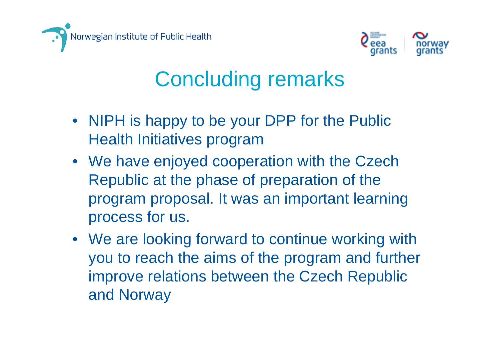



#### Concluding remarks

- NIPH is happy to be your DPP for the Public Health Initiatives program
- We have enjoyed cooperation with the Czech Republic at the phase of preparation of the program proposal. It was an important learning process for us.
- We are looking forward to continue working with you to reach the aims of the program and further improve relations between the Czech Republic and Norway